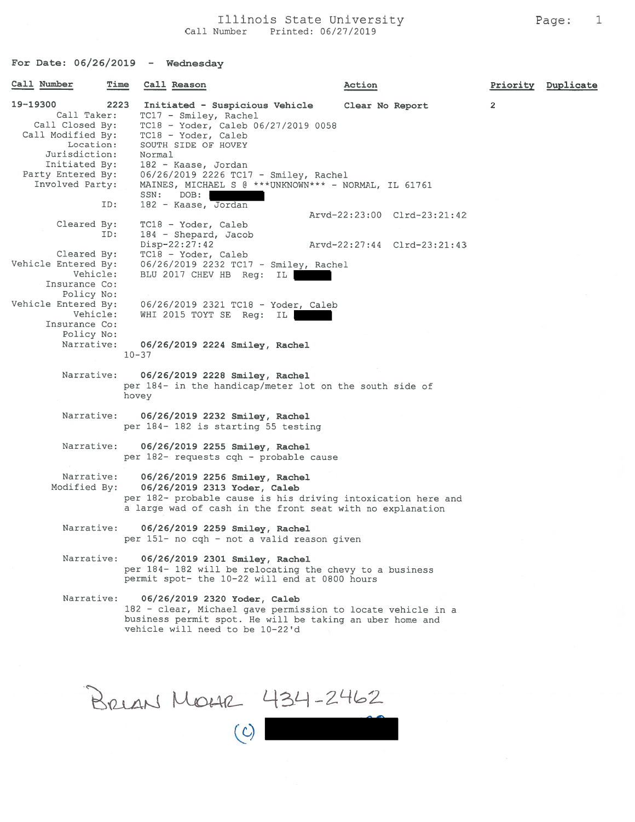## Illinois State University **Page:** 1 Call Number Printed: 06/27/2019

For Date: 06/26/2019 - Wednesday

| Call Number                                                                                                                                            | Time<br>Call Reason                                                                                                                                                                                                                                                                    | Action                                                     |                | Priority Duplicate |
|--------------------------------------------------------------------------------------------------------------------------------------------------------|----------------------------------------------------------------------------------------------------------------------------------------------------------------------------------------------------------------------------------------------------------------------------------------|------------------------------------------------------------|----------------|--------------------|
| 19-19300<br>Call Taker:<br>Call Closed By:<br>Call Modified By:<br>Location:<br>Jurisdiction:<br>Initiated By:<br>Party Entered By:<br>Involved Party: | 2223<br>Initiated - Suspicious Vehicle<br>TC17 - Smiley, Rachel<br>TC18 - Yoder, Caleb 06/27/2019 0058<br>TC18 - Yoder, Caleb<br>SOUTH SIDE OF HOVEY<br>Normal<br>182 - Kaase, Jordan<br>06/26/2019 2226 TC17 - Smiley, Rachel<br>MAINES, MICHAEL S @ ***UNKNOWN*** - NORMAL, IL 61761 | Clear No Report                                            | $\overline{2}$ |                    |
| ID:                                                                                                                                                    | SSN:<br>DOB:<br>182 - Kaase, Jordan                                                                                                                                                                                                                                                    |                                                            |                |                    |
| Cleared By:<br>ID:                                                                                                                                     | TC18 - Yoder, Caleb<br>184 - Shepard, Jacob<br>$Disp-22:27:42$                                                                                                                                                                                                                         | Arvd-22:23:00 Clrd-23:21:42<br>Arvd-22:27:44 Clrd-23:21:43 |                |                    |
| Cleared By:<br>Vehicle Entered By:<br>Vehicle:<br>Insurance Co:<br>Policy No:                                                                          | TC18 - Yoder, Caleb<br>06/26/2019 2232 TC17 - Smiley, Rachel<br>BLU 2017 CHEV HB Req: IL                                                                                                                                                                                               |                                                            |                |                    |
| Vehicle Entered By:<br>Vehicle:<br>Insurance Co:<br>Policy No:<br>Narrative:                                                                           | 06/26/2019 2321 TC18 - Yoder, Caleb<br>WHI 2015 TOYT SE Req: IL<br>06/26/2019 2224 Smiley, Rachel                                                                                                                                                                                      |                                                            |                |                    |
| Narrative:                                                                                                                                             | $10 - 37$<br>06/26/2019 2228 Smiley, Rachel<br>per 184- in the handicap/meter lot on the south side of<br>hovey                                                                                                                                                                        |                                                            |                |                    |
| Narrative:                                                                                                                                             | 06/26/2019 2232 Smiley, Rachel<br>per 184- 182 is starting 55 testing                                                                                                                                                                                                                  |                                                            |                |                    |
| Narrative:                                                                                                                                             | 06/26/2019 2255 Smiley, Rachel<br>per 182- requests cqh - probable cause                                                                                                                                                                                                               |                                                            |                |                    |
| Narrative:<br>Modified By:                                                                                                                             | 06/26/2019 2256 Smiley, Rachel<br>06/26/2019 2313 Yoder, Caleb<br>per 182- probable cause is his driving intoxication here and<br>a large wad of cash in the front seat with no explanation                                                                                            |                                                            |                |                    |
| Narrative:                                                                                                                                             | 06/26/2019 2259 Smiley, Rachel<br>per 151- no cqh - not a valid reason given                                                                                                                                                                                                           |                                                            |                |                    |
| Narrative:                                                                                                                                             | 06/26/2019 2301 Smiley, Rachel<br>per 184- 182 will be relocating the chevy to a business<br>permit spot- the 10-22 will end at 0800 hours                                                                                                                                             |                                                            |                |                    |
| Narrative:                                                                                                                                             | 06/26/2019 2320 Yoder, Caleb<br>182 - clear, Michael gave permission to locate vehicle in a<br>business permit spot. He will be taking an uber home and<br>vehicle will need to be 10-22'd                                                                                             |                                                            |                |                    |

BRIAN MOHR 434-2462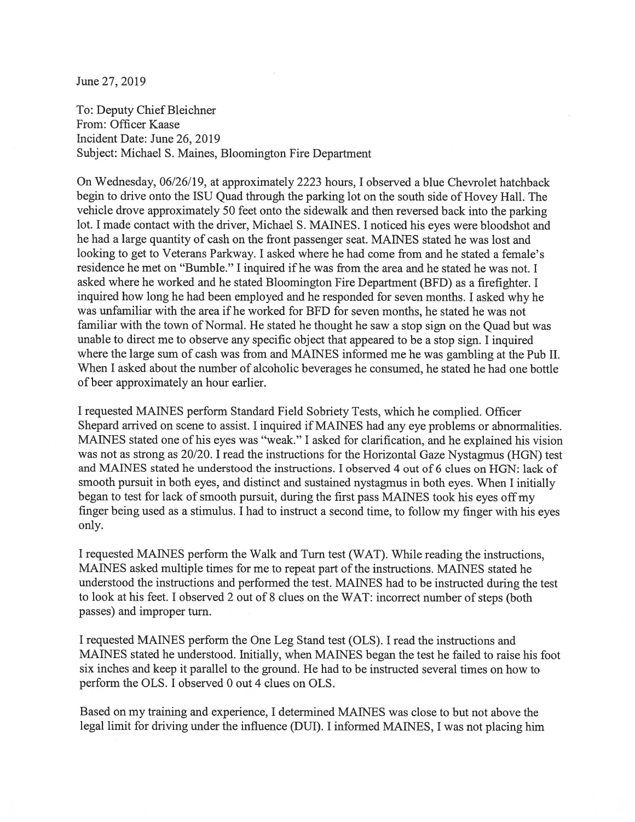June 27, 2019

To: Deputy Chief Bleichner From: Officer Kaase Incident Date: June 26, 2019 Subject: Michael S. Maines, Bloomington Fire Department

On Wednesday, 06/26/19, at approximately 2223 hours, I observed <sup>a</sup> blue Chevrolet hatchback begin to drive onto the ISU Quad through the parking lot on the south side of Hovey Hall. The vehicle drove approximately <sup>50</sup> feet onto the sidewalk and then reversed back into the parking lot. <sup>I</sup> made contact with the driver, Michael S. MANES. <sup>I</sup> noticed his eyes were bloodshot and he had <sup>a</sup> large quantity of cash on the front passenger seat. MANES stated he was lost and looking to ge<sup>t</sup> to Veterans Parkway. I asked where he had come from and he stated <sup>a</sup> female's residence he met on "Bumble." I inquired if he was from the area and he stated he was not. I asked where he worked and he stated Bloomington Fire Department (BFD) as <sup>a</sup> firefighter. <sup>I</sup> inquired how long he had been employed and he responded for seven months. <sup>I</sup> asked why he was unfamiliar with the area if he worked for BFD for seven months, he stated he was not familiar with the town of Normal. He stated he thought he saw <sup>a</sup> stop sign on the Quad but was unable to direct me to observe any specific object that appeared to be <sup>a</sup> stop sign. <sup>I</sup> inquired where the large sum of cash was from and MANES informed me he was gambling at the Pub II. When I asked about the number of alcoholic beverages he consumed, he stated he had one bottle of beer approximately an hour earlier.

<sup>I</sup> requested MANES perform Standard Field Sobriety Tests, which he complied. Officer Shepard arrived on scene to assist. I inquired if MAINES had any eye problems or abnormalities. MANES stated one of his eyes was "weak." <sup>I</sup> asked for clarification, and he explained his vision was not as strong as 20/20. <sup>I</sup> read the instructions for the Horizontal Gaze Nystagmus (HGN) test and MANES stated he understood the instructions. I observed 4 out of 6 clues on HGN: lack of smooth pursuit in both eyes, and distinct and sustained nystagmus in both eyes. When <sup>I</sup> initially began to test for lack of smooth pursuit, during the first pass MANES took his eyes off my finger being used as <sup>a</sup> stimulus. <sup>I</sup> had to instruct <sup>a</sup> second time, to follow my finger with his eyes only.

<sup>I</sup> requested MANES perform the Walk and Turn test (WAT). While reading the instructions, MANES asked multiple times for me to repea<sup>t</sup> par<sup>t</sup> of the instructions. MANES stated he understood the instructions and performed the test. MANES had to be instructed during the test to look at his feet. <sup>I</sup> observed <sup>2</sup> out of 8 clues on the WAT: incorrect number of steps (both passes) and improper turn.

I requested MANES perform the One Leg Stand test (OLS). I read the instructions and MANES stated he understood. Initially, when MANES began the test he failed to raise his foot six inches and keep it parallel to the ground. He had to be instructed several times on how to perform the OLS. I observed 0 out 4 clues on OLS.

Based on my training and experience, I determined MANES was close to but not above the legal limit for driving under the influence (DUI). <sup>I</sup> informed MANES, <sup>I</sup> was not <sup>p</sup>lacing him